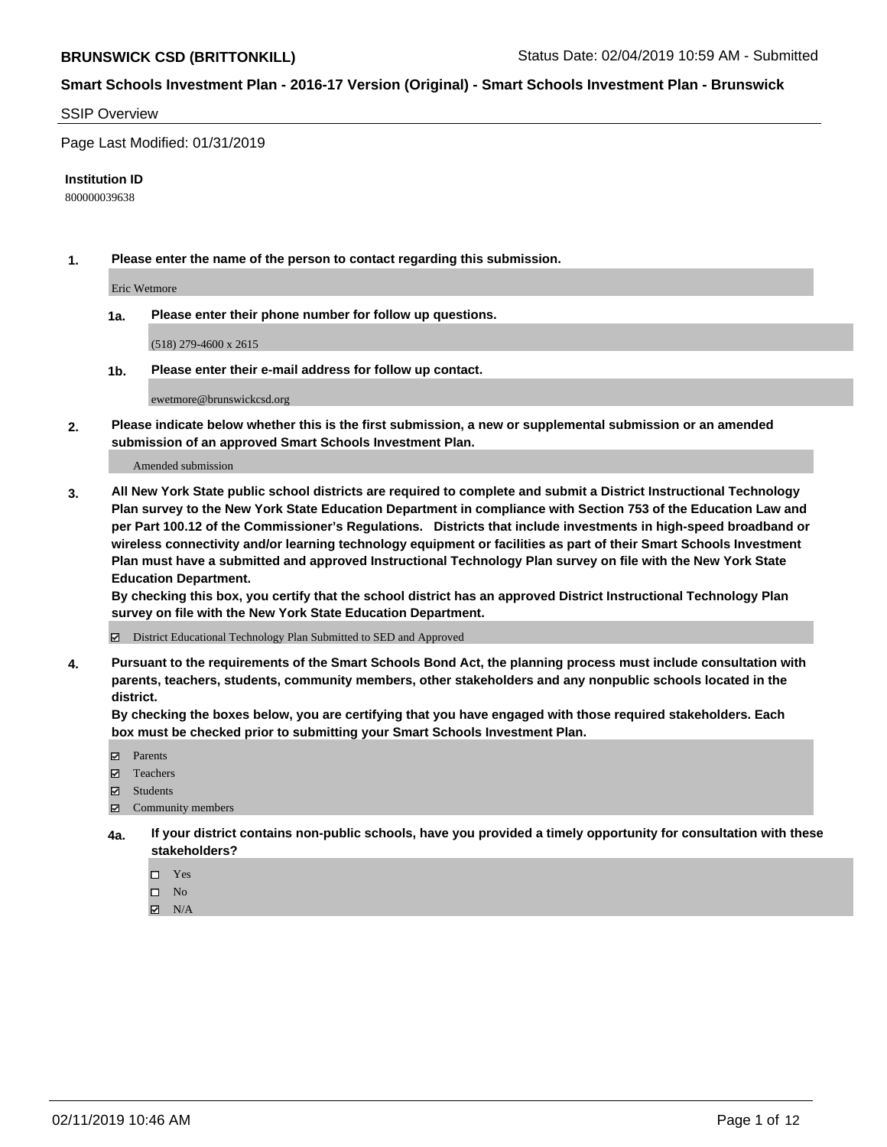#### SSIP Overview

Page Last Modified: 01/31/2019

#### **Institution ID**

800000039638

**1. Please enter the name of the person to contact regarding this submission.**

Eric Wetmore

**1a. Please enter their phone number for follow up questions.**

(518) 279-4600 x 2615

**1b. Please enter their e-mail address for follow up contact.**

ewetmore@brunswickcsd.org

**2. Please indicate below whether this is the first submission, a new or supplemental submission or an amended submission of an approved Smart Schools Investment Plan.**

Amended submission

**3. All New York State public school districts are required to complete and submit a District Instructional Technology Plan survey to the New York State Education Department in compliance with Section 753 of the Education Law and per Part 100.12 of the Commissioner's Regulations. Districts that include investments in high-speed broadband or wireless connectivity and/or learning technology equipment or facilities as part of their Smart Schools Investment Plan must have a submitted and approved Instructional Technology Plan survey on file with the New York State Education Department.** 

**By checking this box, you certify that the school district has an approved District Instructional Technology Plan survey on file with the New York State Education Department.**

District Educational Technology Plan Submitted to SED and Approved

**4. Pursuant to the requirements of the Smart Schools Bond Act, the planning process must include consultation with parents, teachers, students, community members, other stakeholders and any nonpublic schools located in the district.** 

**By checking the boxes below, you are certifying that you have engaged with those required stakeholders. Each box must be checked prior to submitting your Smart Schools Investment Plan.**

- **□** Parents
- Teachers
- Students
- $\boxtimes$  Community members
- **4a. If your district contains non-public schools, have you provided a timely opportunity for consultation with these stakeholders?**
	- $\Box$  Yes
	- $\qquad \qquad$  No
	- $\blacksquare$  N/A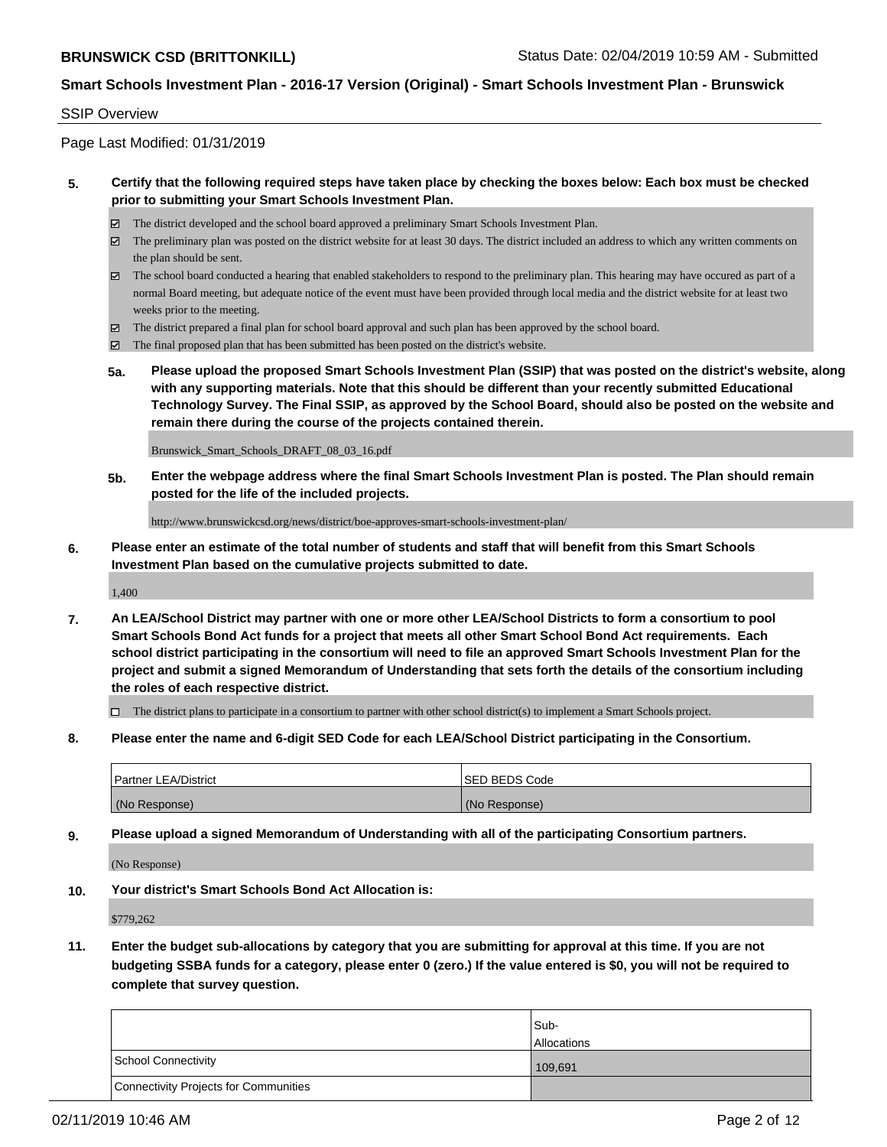#### SSIP Overview

Page Last Modified: 01/31/2019

### **5. Certify that the following required steps have taken place by checking the boxes below: Each box must be checked prior to submitting your Smart Schools Investment Plan.**

- The district developed and the school board approved a preliminary Smart Schools Investment Plan.
- The preliminary plan was posted on the district website for at least 30 days. The district included an address to which any written comments on the plan should be sent.
- $\boxtimes$  The school board conducted a hearing that enabled stakeholders to respond to the preliminary plan. This hearing may have occured as part of a normal Board meeting, but adequate notice of the event must have been provided through local media and the district website for at least two weeks prior to the meeting.
- The district prepared a final plan for school board approval and such plan has been approved by the school board.
- $\boxtimes$  The final proposed plan that has been submitted has been posted on the district's website.
- **5a. Please upload the proposed Smart Schools Investment Plan (SSIP) that was posted on the district's website, along with any supporting materials. Note that this should be different than your recently submitted Educational Technology Survey. The Final SSIP, as approved by the School Board, should also be posted on the website and remain there during the course of the projects contained therein.**

Brunswick\_Smart\_Schools\_DRAFT\_08\_03\_16.pdf

**5b. Enter the webpage address where the final Smart Schools Investment Plan is posted. The Plan should remain posted for the life of the included projects.**

http://www.brunswickcsd.org/news/district/boe-approves-smart-schools-investment-plan/

**6. Please enter an estimate of the total number of students and staff that will benefit from this Smart Schools Investment Plan based on the cumulative projects submitted to date.**

1,400

**7. An LEA/School District may partner with one or more other LEA/School Districts to form a consortium to pool Smart Schools Bond Act funds for a project that meets all other Smart School Bond Act requirements. Each school district participating in the consortium will need to file an approved Smart Schools Investment Plan for the project and submit a signed Memorandum of Understanding that sets forth the details of the consortium including the roles of each respective district.**

 $\Box$  The district plans to participate in a consortium to partner with other school district(s) to implement a Smart Schools project.

**8. Please enter the name and 6-digit SED Code for each LEA/School District participating in the Consortium.**

| <b>Partner LEA/District</b> | <b>ISED BEDS Code</b> |
|-----------------------------|-----------------------|
| (No Response)               | (No Response)         |

**9. Please upload a signed Memorandum of Understanding with all of the participating Consortium partners.**

(No Response)

**10. Your district's Smart Schools Bond Act Allocation is:**

\$779,262

**11. Enter the budget sub-allocations by category that you are submitting for approval at this time. If you are not budgeting SSBA funds for a category, please enter 0 (zero.) If the value entered is \$0, you will not be required to complete that survey question.**

|                                              | Sub-               |
|----------------------------------------------|--------------------|
|                                              | <b>Allocations</b> |
| <b>School Connectivity</b>                   | 109,691            |
| <b>Connectivity Projects for Communities</b> |                    |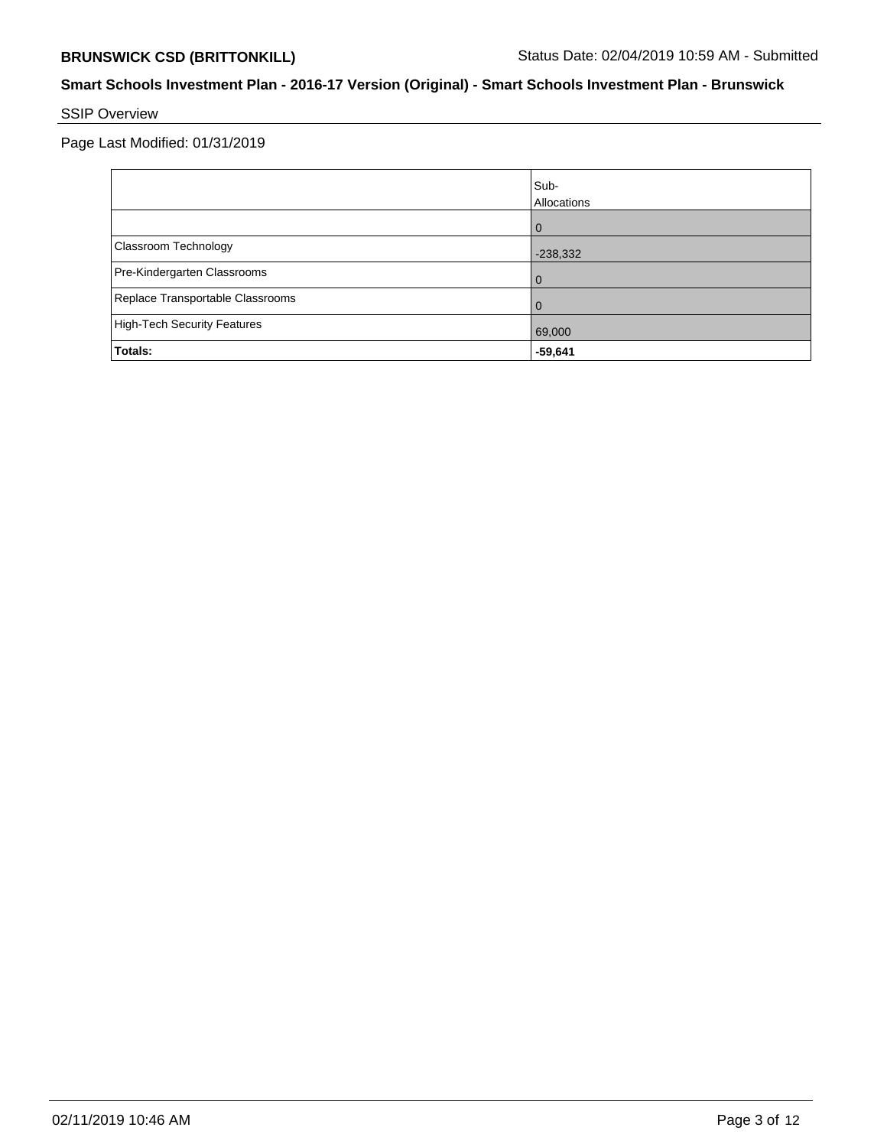# SSIP Overview

Page Last Modified: 01/31/2019

|                                    | Sub-<br>Allocations |
|------------------------------------|---------------------|
|                                    | 0                   |
| Classroom Technology               | $-238,332$          |
| Pre-Kindergarten Classrooms        | 0                   |
| Replace Transportable Classrooms   | 0                   |
| <b>High-Tech Security Features</b> | 69,000              |
| Totals:                            | $-59,641$           |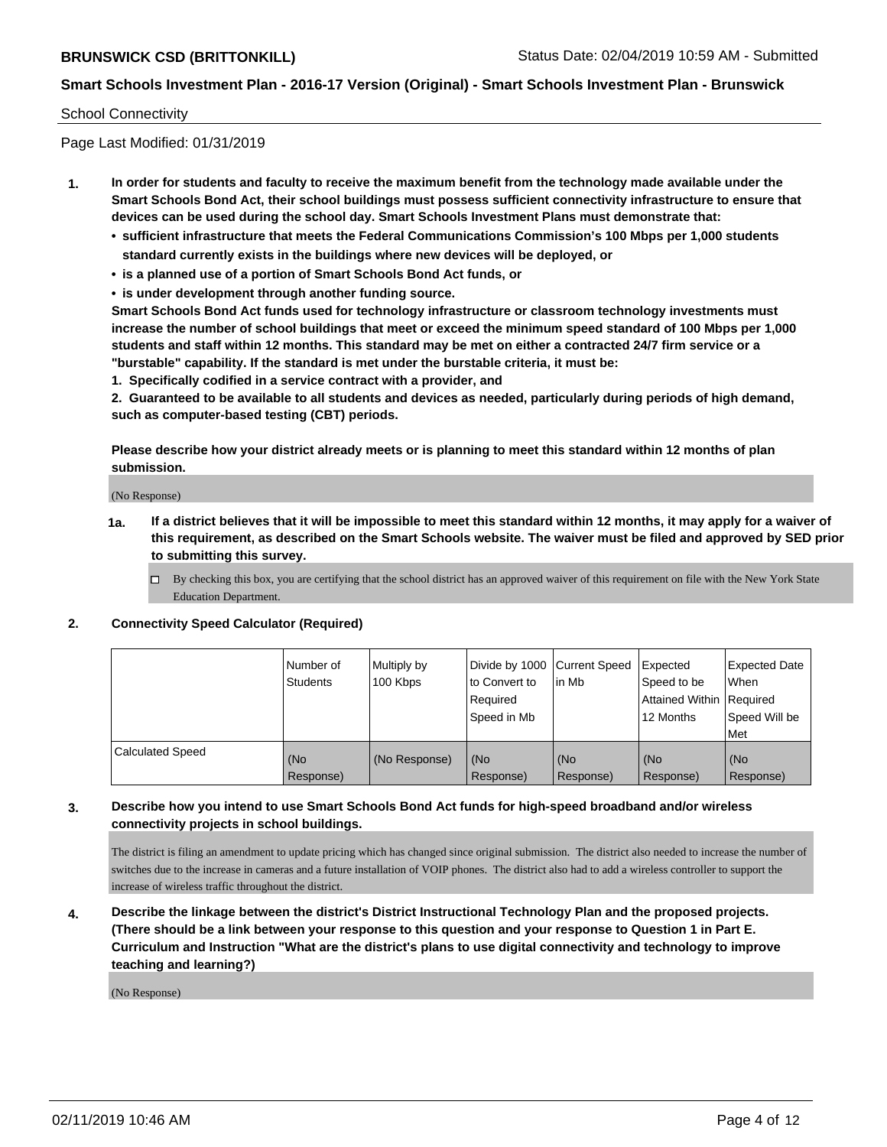### School Connectivity

Page Last Modified: 01/31/2019

- **1. In order for students and faculty to receive the maximum benefit from the technology made available under the Smart Schools Bond Act, their school buildings must possess sufficient connectivity infrastructure to ensure that devices can be used during the school day. Smart Schools Investment Plans must demonstrate that:**
	- **• sufficient infrastructure that meets the Federal Communications Commission's 100 Mbps per 1,000 students standard currently exists in the buildings where new devices will be deployed, or**
	- **• is a planned use of a portion of Smart Schools Bond Act funds, or**
	- **• is under development through another funding source.**

**Smart Schools Bond Act funds used for technology infrastructure or classroom technology investments must increase the number of school buildings that meet or exceed the minimum speed standard of 100 Mbps per 1,000 students and staff within 12 months. This standard may be met on either a contracted 24/7 firm service or a "burstable" capability. If the standard is met under the burstable criteria, it must be:**

**1. Specifically codified in a service contract with a provider, and**

**2. Guaranteed to be available to all students and devices as needed, particularly during periods of high demand, such as computer-based testing (CBT) periods.**

**Please describe how your district already meets or is planning to meet this standard within 12 months of plan submission.**

(No Response)

- **1a. If a district believes that it will be impossible to meet this standard within 12 months, it may apply for a waiver of this requirement, as described on the Smart Schools website. The waiver must be filed and approved by SED prior to submitting this survey.**
	- By checking this box, you are certifying that the school district has an approved waiver of this requirement on file with the New York State Education Department.

#### **2. Connectivity Speed Calculator (Required)**

|                         | l Number of<br>Students | Multiply by<br>100 Kbps | Divide by 1000   Current Speed<br>to Convert to<br>Required<br>Speed in Mb | l in Mb          | Expected<br>Speed to be<br>Attained Within   Required<br>12 Months | <b>Expected Date</b><br>When<br>Speed Will be<br>Met |
|-------------------------|-------------------------|-------------------------|----------------------------------------------------------------------------|------------------|--------------------------------------------------------------------|------------------------------------------------------|
| <b>Calculated Speed</b> | (No<br>Response)        | (No Response)           | (No<br>Response)                                                           | (No<br>Response) | (No<br>Response)                                                   | (No<br>Response)                                     |

## **3. Describe how you intend to use Smart Schools Bond Act funds for high-speed broadband and/or wireless connectivity projects in school buildings.**

The district is filing an amendment to update pricing which has changed since original submission. The district also needed to increase the number of switches due to the increase in cameras and a future installation of VOIP phones. The district also had to add a wireless controller to support the increase of wireless traffic throughout the district.

**4. Describe the linkage between the district's District Instructional Technology Plan and the proposed projects. (There should be a link between your response to this question and your response to Question 1 in Part E. Curriculum and Instruction "What are the district's plans to use digital connectivity and technology to improve teaching and learning?)**

(No Response)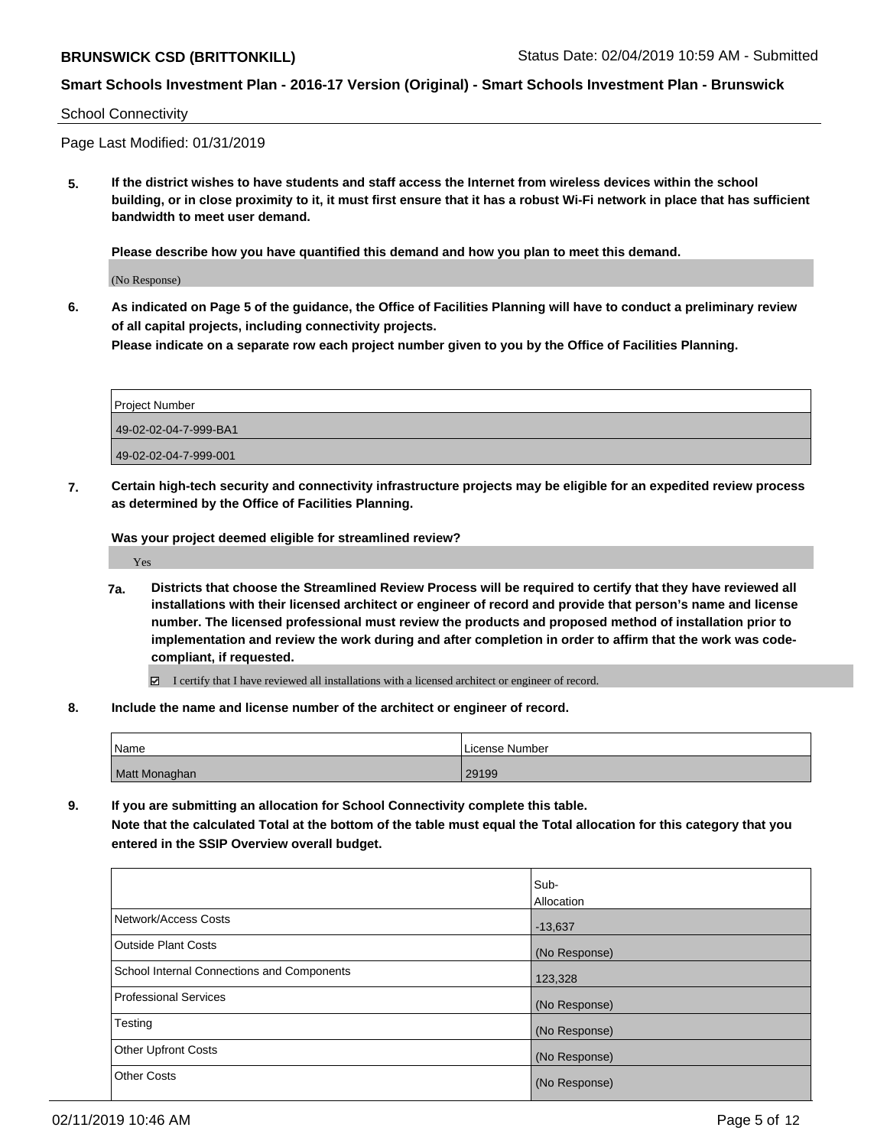## School Connectivity

Page Last Modified: 01/31/2019

**5. If the district wishes to have students and staff access the Internet from wireless devices within the school building, or in close proximity to it, it must first ensure that it has a robust Wi-Fi network in place that has sufficient bandwidth to meet user demand.**

**Please describe how you have quantified this demand and how you plan to meet this demand.**

(No Response)

**6. As indicated on Page 5 of the guidance, the Office of Facilities Planning will have to conduct a preliminary review of all capital projects, including connectivity projects.**

**Please indicate on a separate row each project number given to you by the Office of Facilities Planning.**

| Project Number        |  |
|-----------------------|--|
| 49-02-02-04-7-999-BA1 |  |
| 49-02-02-04-7-999-001 |  |

**7. Certain high-tech security and connectivity infrastructure projects may be eligible for an expedited review process as determined by the Office of Facilities Planning.**

**Was your project deemed eligible for streamlined review?**

Yes

**7a. Districts that choose the Streamlined Review Process will be required to certify that they have reviewed all installations with their licensed architect or engineer of record and provide that person's name and license number. The licensed professional must review the products and proposed method of installation prior to implementation and review the work during and after completion in order to affirm that the work was codecompliant, if requested.**

I certify that I have reviewed all installations with a licensed architect or engineer of record.

**8. Include the name and license number of the architect or engineer of record.**

| 'Name         | License Number |
|---------------|----------------|
| Matt Monaghan | 29199          |

**9. If you are submitting an allocation for School Connectivity complete this table. Note that the calculated Total at the bottom of the table must equal the Total allocation for this category that you entered in the SSIP Overview overall budget.** 

|                                            | Sub-          |
|--------------------------------------------|---------------|
|                                            | Allocation    |
| Network/Access Costs                       | $-13,637$     |
| <b>Outside Plant Costs</b>                 | (No Response) |
| School Internal Connections and Components | 123,328       |
| <b>Professional Services</b>               | (No Response) |
| Testing                                    | (No Response) |
| <b>Other Upfront Costs</b>                 | (No Response) |
| <b>Other Costs</b>                         | (No Response) |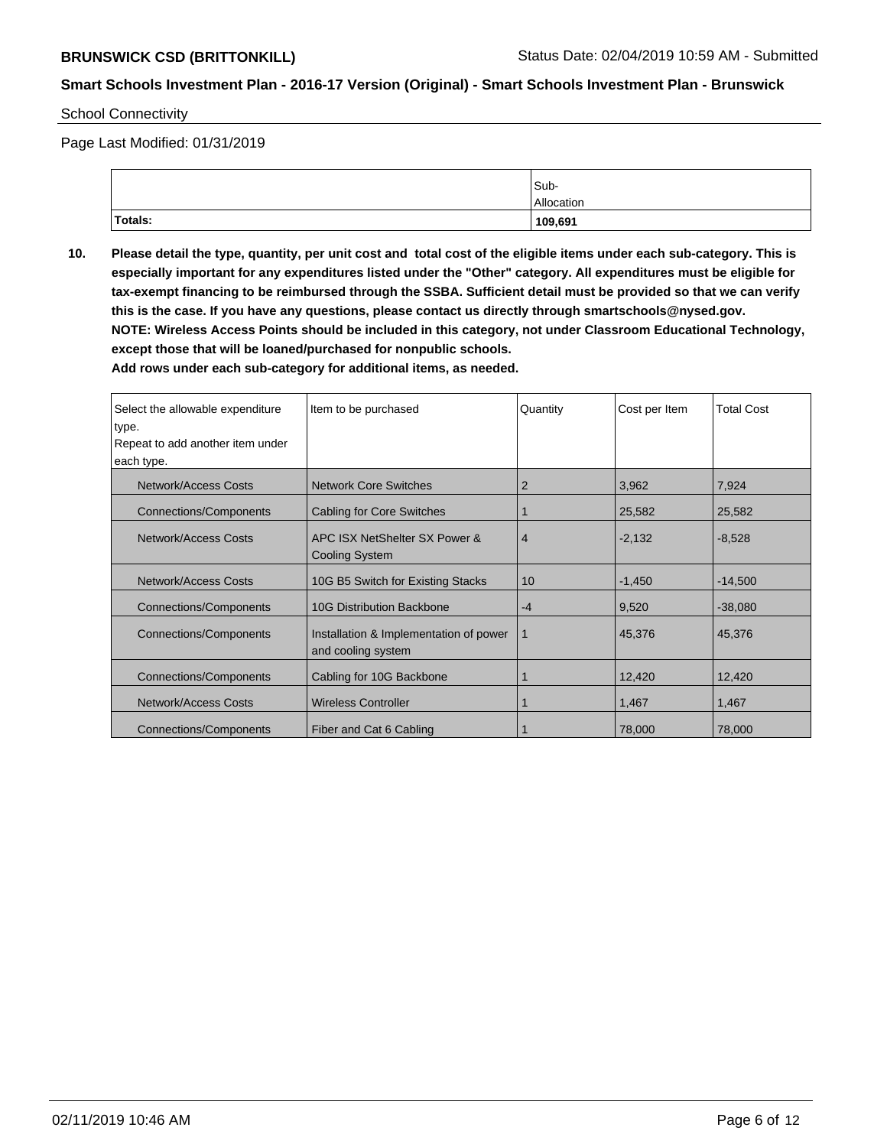School Connectivity

Page Last Modified: 01/31/2019

|         | Sub-       |
|---------|------------|
|         | Allocation |
| Totals: | 109,691    |

**10. Please detail the type, quantity, per unit cost and total cost of the eligible items under each sub-category. This is especially important for any expenditures listed under the "Other" category. All expenditures must be eligible for tax-exempt financing to be reimbursed through the SSBA. Sufficient detail must be provided so that we can verify this is the case. If you have any questions, please contact us directly through smartschools@nysed.gov. NOTE: Wireless Access Points should be included in this category, not under Classroom Educational Technology, except those that will be loaned/purchased for nonpublic schools.**

**Add rows under each sub-category for additional items, as needed.**

| Select the allowable expenditure | Item to be purchased                                         | Quantity       | Cost per Item | <b>Total Cost</b> |
|----------------------------------|--------------------------------------------------------------|----------------|---------------|-------------------|
| type.                            |                                                              |                |               |                   |
| Repeat to add another item under |                                                              |                |               |                   |
| each type.                       |                                                              |                |               |                   |
| Network/Access Costs             | <b>Network Core Switches</b>                                 | 2              | 3,962         | 7,924             |
| <b>Connections/Components</b>    | <b>Cabling for Core Switches</b>                             |                | 25,582        | 25,582            |
| Network/Access Costs             | APC ISX NetShelter SX Power &                                | $\overline{4}$ | $-2,132$      | $-8,528$          |
|                                  | <b>Cooling System</b>                                        |                |               |                   |
| <b>Network/Access Costs</b>      | 10G B5 Switch for Existing Stacks                            | 10             | $-1,450$      | $-14,500$         |
| <b>Connections/Components</b>    | <b>10G Distribution Backbone</b>                             | $-4$           | 9,520         | $-38,080$         |
| Connections/Components           | Installation & Implementation of power<br>and cooling system | 1              | 45,376        | 45,376            |
| <b>Connections/Components</b>    | Cabling for 10G Backbone                                     |                | 12,420        | 12,420            |
| Network/Access Costs             | <b>Wireless Controller</b>                                   |                | 1,467         | 1,467             |
| <b>Connections/Components</b>    | Fiber and Cat 6 Cabling                                      |                | 78,000        | 78,000            |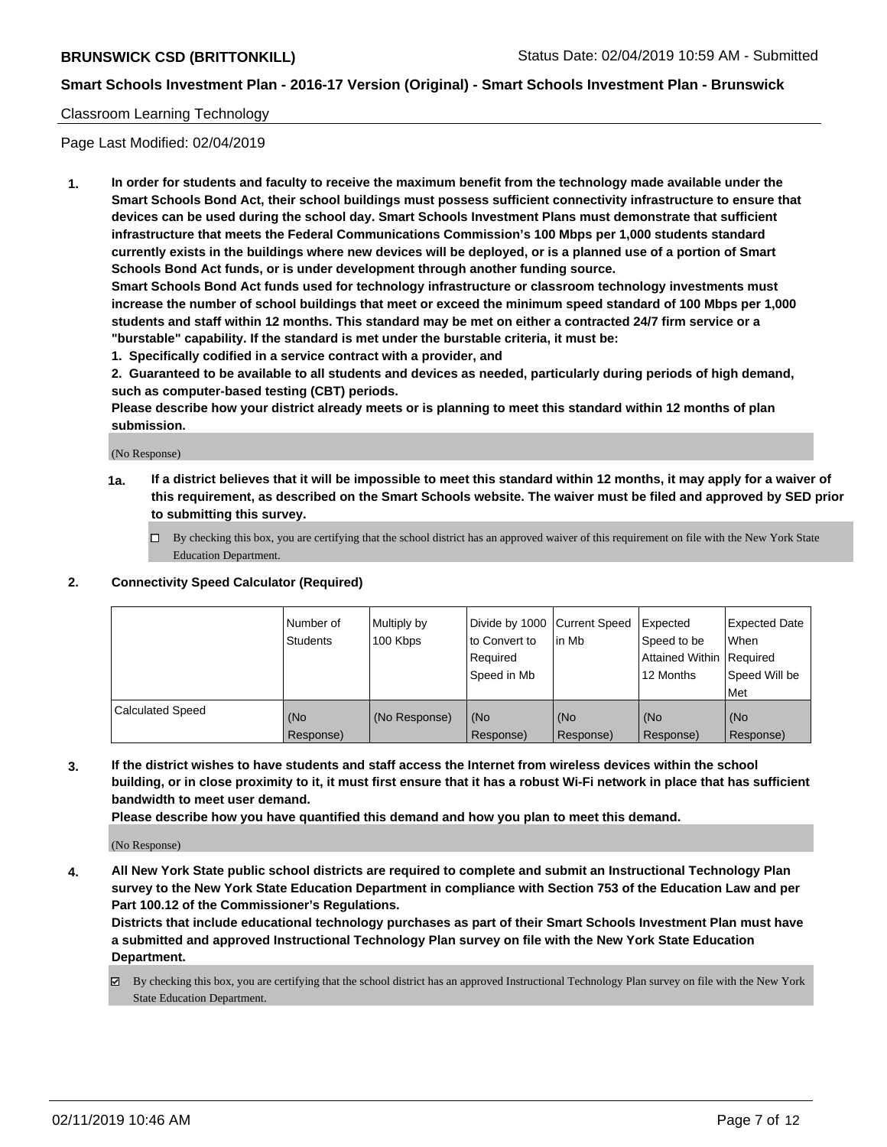### Classroom Learning Technology

Page Last Modified: 02/04/2019

**1. In order for students and faculty to receive the maximum benefit from the technology made available under the Smart Schools Bond Act, their school buildings must possess sufficient connectivity infrastructure to ensure that devices can be used during the school day. Smart Schools Investment Plans must demonstrate that sufficient infrastructure that meets the Federal Communications Commission's 100 Mbps per 1,000 students standard currently exists in the buildings where new devices will be deployed, or is a planned use of a portion of Smart Schools Bond Act funds, or is under development through another funding source.**

**Smart Schools Bond Act funds used for technology infrastructure or classroom technology investments must increase the number of school buildings that meet or exceed the minimum speed standard of 100 Mbps per 1,000 students and staff within 12 months. This standard may be met on either a contracted 24/7 firm service or a "burstable" capability. If the standard is met under the burstable criteria, it must be:**

**1. Specifically codified in a service contract with a provider, and**

**2. Guaranteed to be available to all students and devices as needed, particularly during periods of high demand, such as computer-based testing (CBT) periods.**

**Please describe how your district already meets or is planning to meet this standard within 12 months of plan submission.**

(No Response)

- **1a. If a district believes that it will be impossible to meet this standard within 12 months, it may apply for a waiver of this requirement, as described on the Smart Schools website. The waiver must be filed and approved by SED prior to submitting this survey.**
	- By checking this box, you are certifying that the school district has an approved waiver of this requirement on file with the New York State Education Department.

#### **2. Connectivity Speed Calculator (Required)**

|                         | Number of<br>Students | Multiply by<br>100 Kbps | Divide by 1000 Current Speed<br>to Convert to<br>Required<br>l Speed in Mb | lin Mb           | <b>Expected</b><br>Speed to be<br><b>Attained Within Required</b><br>12 Months | <b>Expected Date</b><br>When<br>Speed Will be<br><b>Met</b> |
|-------------------------|-----------------------|-------------------------|----------------------------------------------------------------------------|------------------|--------------------------------------------------------------------------------|-------------------------------------------------------------|
| <b>Calculated Speed</b> | (No<br>Response)      | (No Response)           | (No<br>Response)                                                           | (No<br>Response) | l (No<br>Response)                                                             | (No<br>Response)                                            |

**3. If the district wishes to have students and staff access the Internet from wireless devices within the school building, or in close proximity to it, it must first ensure that it has a robust Wi-Fi network in place that has sufficient bandwidth to meet user demand.**

**Please describe how you have quantified this demand and how you plan to meet this demand.**

(No Response)

**4. All New York State public school districts are required to complete and submit an Instructional Technology Plan survey to the New York State Education Department in compliance with Section 753 of the Education Law and per Part 100.12 of the Commissioner's Regulations.**

**Districts that include educational technology purchases as part of their Smart Schools Investment Plan must have a submitted and approved Instructional Technology Plan survey on file with the New York State Education Department.**

By checking this box, you are certifying that the school district has an approved Instructional Technology Plan survey on file with the New York State Education Department.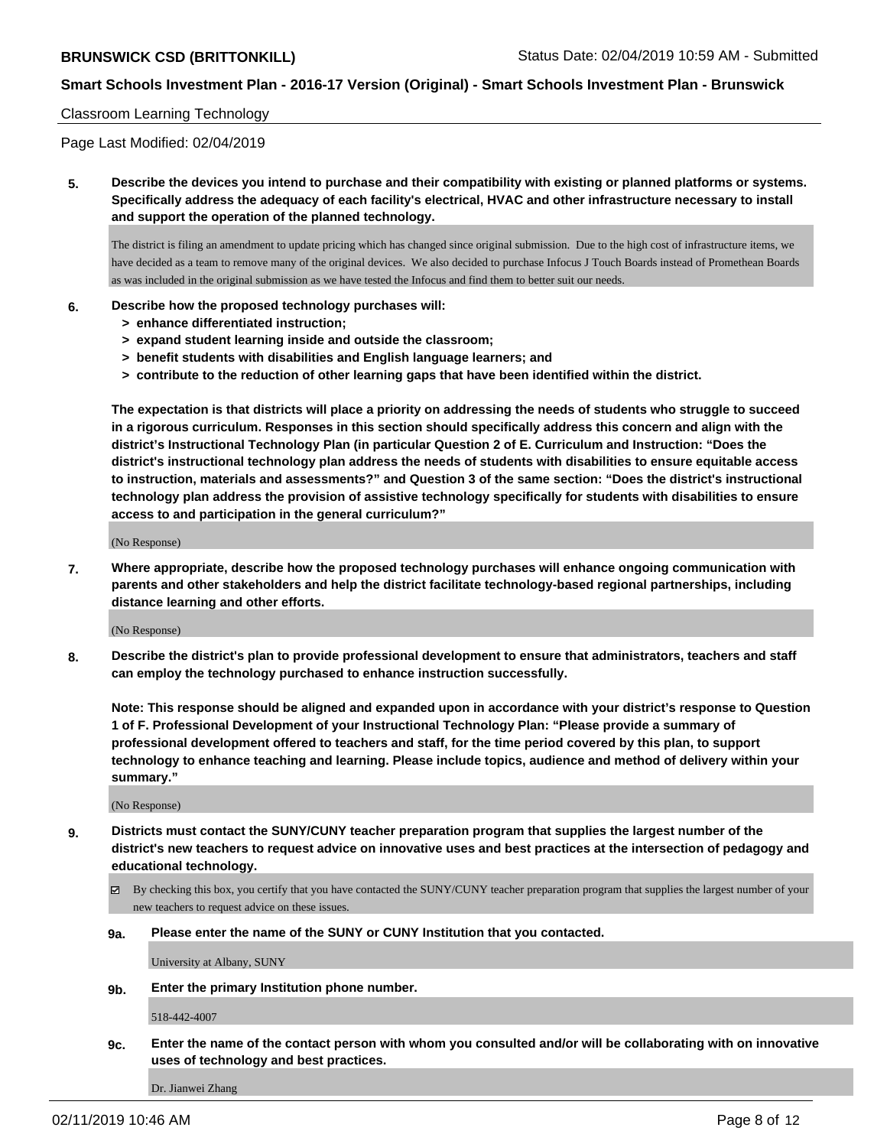#### Classroom Learning Technology

Page Last Modified: 02/04/2019

**5. Describe the devices you intend to purchase and their compatibility with existing or planned platforms or systems. Specifically address the adequacy of each facility's electrical, HVAC and other infrastructure necessary to install and support the operation of the planned technology.**

The district is filing an amendment to update pricing which has changed since original submission. Due to the high cost of infrastructure items, we have decided as a team to remove many of the original devices. We also decided to purchase Infocus J Touch Boards instead of Promethean Boards as was included in the original submission as we have tested the Infocus and find them to better suit our needs.

#### **6. Describe how the proposed technology purchases will:**

- **> enhance differentiated instruction;**
- **> expand student learning inside and outside the classroom;**
- **> benefit students with disabilities and English language learners; and**
- **> contribute to the reduction of other learning gaps that have been identified within the district.**

**The expectation is that districts will place a priority on addressing the needs of students who struggle to succeed in a rigorous curriculum. Responses in this section should specifically address this concern and align with the district's Instructional Technology Plan (in particular Question 2 of E. Curriculum and Instruction: "Does the district's instructional technology plan address the needs of students with disabilities to ensure equitable access to instruction, materials and assessments?" and Question 3 of the same section: "Does the district's instructional technology plan address the provision of assistive technology specifically for students with disabilities to ensure access to and participation in the general curriculum?"**

(No Response)

**7. Where appropriate, describe how the proposed technology purchases will enhance ongoing communication with parents and other stakeholders and help the district facilitate technology-based regional partnerships, including distance learning and other efforts.**

(No Response)

**8. Describe the district's plan to provide professional development to ensure that administrators, teachers and staff can employ the technology purchased to enhance instruction successfully.**

**Note: This response should be aligned and expanded upon in accordance with your district's response to Question 1 of F. Professional Development of your Instructional Technology Plan: "Please provide a summary of professional development offered to teachers and staff, for the time period covered by this plan, to support technology to enhance teaching and learning. Please include topics, audience and method of delivery within your summary."**

(No Response)

- **9. Districts must contact the SUNY/CUNY teacher preparation program that supplies the largest number of the district's new teachers to request advice on innovative uses and best practices at the intersection of pedagogy and educational technology.**
	- By checking this box, you certify that you have contacted the SUNY/CUNY teacher preparation program that supplies the largest number of your new teachers to request advice on these issues.
	- **9a. Please enter the name of the SUNY or CUNY Institution that you contacted.**

University at Albany, SUNY

**9b. Enter the primary Institution phone number.**

518-442-4007

**9c. Enter the name of the contact person with whom you consulted and/or will be collaborating with on innovative uses of technology and best practices.**

Dr. Jianwei Zhang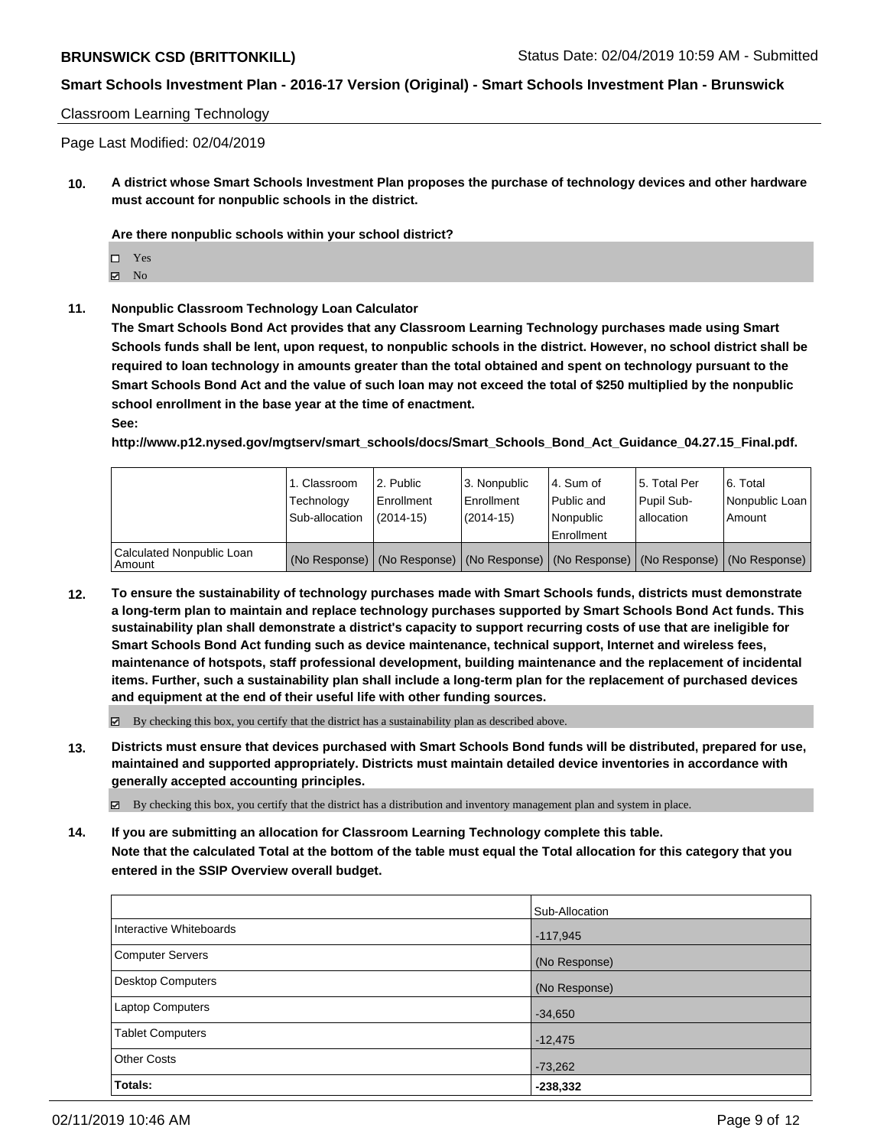Classroom Learning Technology

Page Last Modified: 02/04/2019

**10. A district whose Smart Schools Investment Plan proposes the purchase of technology devices and other hardware must account for nonpublic schools in the district.**

**Are there nonpublic schools within your school district?**

Yes

 $\boxtimes$  No

**11. Nonpublic Classroom Technology Loan Calculator**

**The Smart Schools Bond Act provides that any Classroom Learning Technology purchases made using Smart Schools funds shall be lent, upon request, to nonpublic schools in the district. However, no school district shall be required to loan technology in amounts greater than the total obtained and spent on technology pursuant to the Smart Schools Bond Act and the value of such loan may not exceed the total of \$250 multiplied by the nonpublic school enrollment in the base year at the time of enactment.**

**See:**

**http://www.p12.nysed.gov/mgtserv/smart\_schools/docs/Smart\_Schools\_Bond\_Act\_Guidance\_04.27.15\_Final.pdf.**

|                                       | 1. Classroom<br>Technology<br>Sub-allocation | 2. Public<br>Enrollment<br>(2014-15) | 3. Nonpublic<br>l Enrollment<br>$(2014 - 15)$ | I4. Sum of<br>Public and<br>Nonpublic<br>Enrollment | 15. Total Per<br>Pupil Sub-<br>lallocation | l 6. Total<br>Nonpublic Loan<br>Amount                                                        |
|---------------------------------------|----------------------------------------------|--------------------------------------|-----------------------------------------------|-----------------------------------------------------|--------------------------------------------|-----------------------------------------------------------------------------------------------|
| Calculated Nonpublic Loan<br>  Amount |                                              |                                      |                                               |                                                     |                                            | (No Response)   (No Response)   (No Response)   (No Response)   (No Response)   (No Response) |

**12. To ensure the sustainability of technology purchases made with Smart Schools funds, districts must demonstrate a long-term plan to maintain and replace technology purchases supported by Smart Schools Bond Act funds. This sustainability plan shall demonstrate a district's capacity to support recurring costs of use that are ineligible for Smart Schools Bond Act funding such as device maintenance, technical support, Internet and wireless fees, maintenance of hotspots, staff professional development, building maintenance and the replacement of incidental items. Further, such a sustainability plan shall include a long-term plan for the replacement of purchased devices and equipment at the end of their useful life with other funding sources.**

 $\boxtimes$  By checking this box, you certify that the district has a sustainability plan as described above.

**13. Districts must ensure that devices purchased with Smart Schools Bond funds will be distributed, prepared for use, maintained and supported appropriately. Districts must maintain detailed device inventories in accordance with generally accepted accounting principles.**

By checking this box, you certify that the district has a distribution and inventory management plan and system in place.

**14. If you are submitting an allocation for Classroom Learning Technology complete this table. Note that the calculated Total at the bottom of the table must equal the Total allocation for this category that you entered in the SSIP Overview overall budget.**

|                          | Sub-Allocation |
|--------------------------|----------------|
| Interactive Whiteboards  | $-117,945$     |
| <b>Computer Servers</b>  | (No Response)  |
| <b>Desktop Computers</b> | (No Response)  |
| Laptop Computers         | $-34,650$      |
| <b>Tablet Computers</b>  | $-12,475$      |
| <b>Other Costs</b>       | $-73,262$      |
| <b>Totals:</b>           | $-238,332$     |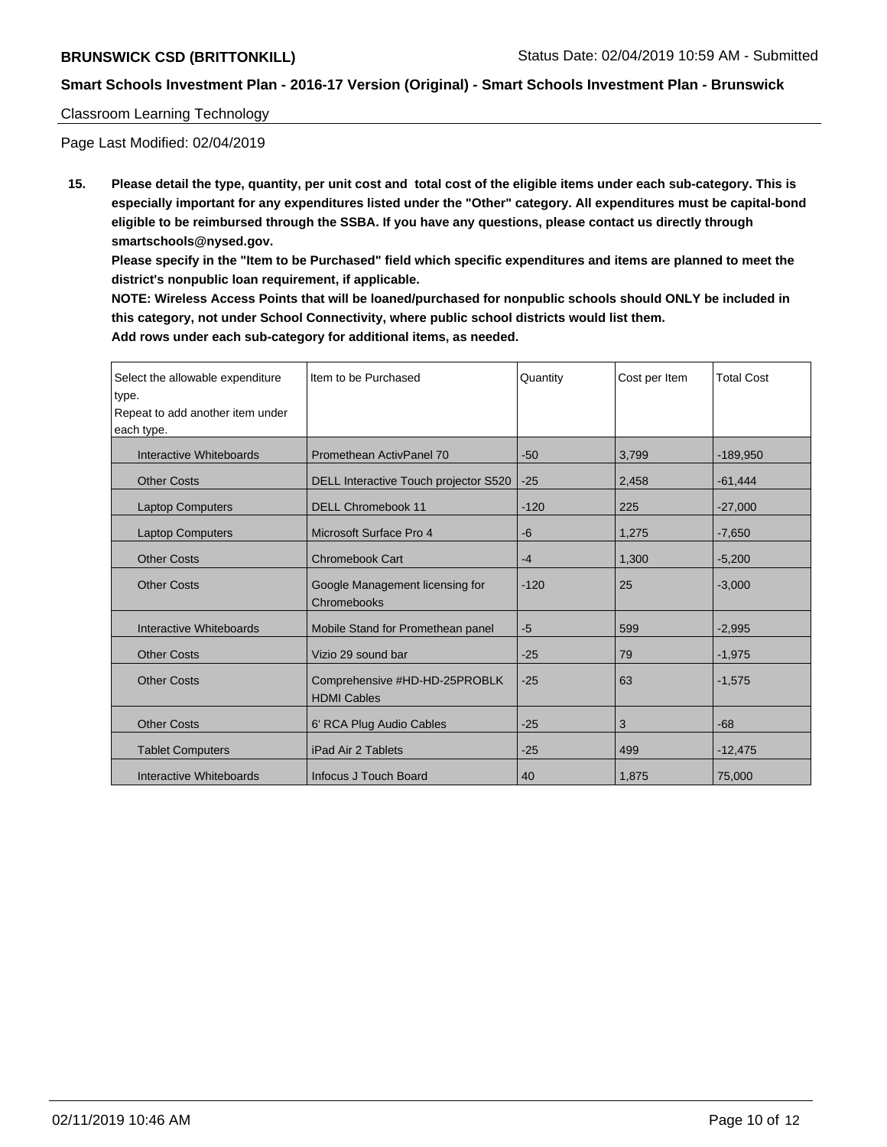### Classroom Learning Technology

Page Last Modified: 02/04/2019

**15. Please detail the type, quantity, per unit cost and total cost of the eligible items under each sub-category. This is especially important for any expenditures listed under the "Other" category. All expenditures must be capital-bond eligible to be reimbursed through the SSBA. If you have any questions, please contact us directly through smartschools@nysed.gov.**

**Please specify in the "Item to be Purchased" field which specific expenditures and items are planned to meet the district's nonpublic loan requirement, if applicable.**

**NOTE: Wireless Access Points that will be loaned/purchased for nonpublic schools should ONLY be included in this category, not under School Connectivity, where public school districts would list them. Add rows under each sub-category for additional items, as needed.**

| Select the allowable expenditure<br>type.<br>Repeat to add another item under<br>each type. | Item to be Purchased                                | Quantity | Cost per Item | <b>Total Cost</b> |
|---------------------------------------------------------------------------------------------|-----------------------------------------------------|----------|---------------|-------------------|
| Interactive Whiteboards                                                                     | Promethean ActivPanel 70                            | $-50$    | 3,799         | $-189,950$        |
| <b>Other Costs</b>                                                                          | DELL Interactive Touch projector S520               | $-25$    | 2,458         | $-61,444$         |
| <b>Laptop Computers</b>                                                                     | <b>DELL Chromebook 11</b>                           | $-120$   | 225           | $-27,000$         |
| <b>Laptop Computers</b>                                                                     | Microsoft Surface Pro 4                             | -6       | 1,275         | $-7,650$          |
| <b>Other Costs</b>                                                                          | <b>Chromebook Cart</b>                              | $-4$     | 1,300         | $-5,200$          |
| <b>Other Costs</b>                                                                          | Google Management licensing for<br>Chromebooks      | $-120$   | 25            | $-3,000$          |
| Interactive Whiteboards                                                                     | Mobile Stand for Promethean panel                   | $-5$     | 599           | $-2,995$          |
| <b>Other Costs</b>                                                                          | Vizio 29 sound bar                                  | $-25$    | 79            | $-1,975$          |
| <b>Other Costs</b>                                                                          | Comprehensive #HD-HD-25PROBLK<br><b>HDMI Cables</b> | $-25$    | 63            | $-1,575$          |
| <b>Other Costs</b>                                                                          | 6' RCA Plug Audio Cables                            | $-25$    | 3             | $-68$             |
| <b>Tablet Computers</b>                                                                     | iPad Air 2 Tablets                                  | $-25$    | 499           | $-12,475$         |
| Interactive Whiteboards                                                                     | Infocus J Touch Board                               | 40       | 1,875         | 75,000            |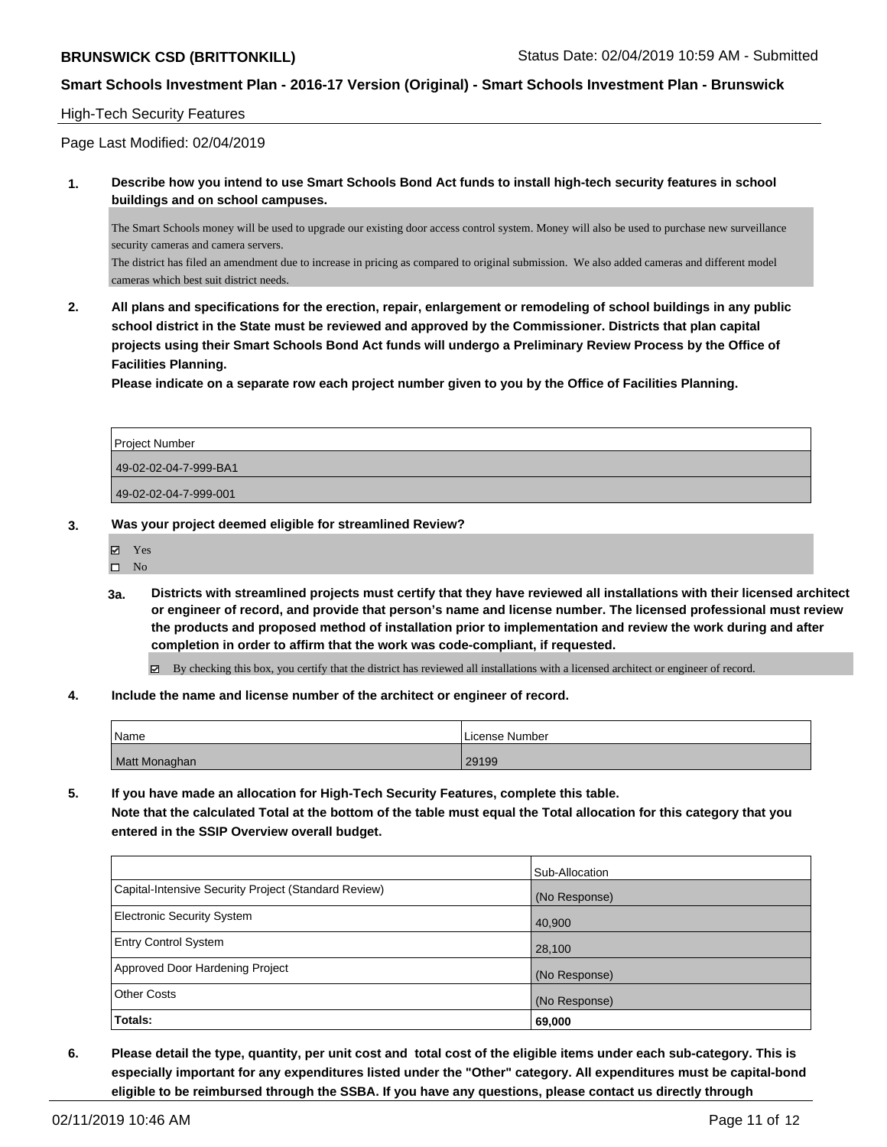### High-Tech Security Features

Page Last Modified: 02/04/2019

**1. Describe how you intend to use Smart Schools Bond Act funds to install high-tech security features in school buildings and on school campuses.**

The Smart Schools money will be used to upgrade our existing door access control system. Money will also be used to purchase new surveillance security cameras and camera servers.

The district has filed an amendment due to increase in pricing as compared to original submission. We also added cameras and different model cameras which best suit district needs.

**2. All plans and specifications for the erection, repair, enlargement or remodeling of school buildings in any public school district in the State must be reviewed and approved by the Commissioner. Districts that plan capital projects using their Smart Schools Bond Act funds will undergo a Preliminary Review Process by the Office of Facilities Planning.** 

**Please indicate on a separate row each project number given to you by the Office of Facilities Planning.**

| Project Number        |
|-----------------------|
| 49-02-02-04-7-999-BA1 |
| 49-02-02-04-7-999-001 |

- **3. Was your project deemed eligible for streamlined Review?**
	- Yes
	- $\hfill \Box$  No
	- **3a. Districts with streamlined projects must certify that they have reviewed all installations with their licensed architect or engineer of record, and provide that person's name and license number. The licensed professional must review the products and proposed method of installation prior to implementation and review the work during and after completion in order to affirm that the work was code-compliant, if requested.**

By checking this box, you certify that the district has reviewed all installations with a licensed architect or engineer of record.

**4. Include the name and license number of the architect or engineer of record.**

| l Name        | License Number |
|---------------|----------------|
| Matt Monaghan | 29199          |

**5. If you have made an allocation for High-Tech Security Features, complete this table. Note that the calculated Total at the bottom of the table must equal the Total allocation for this category that you entered in the SSIP Overview overall budget.**

|                                                      | Sub-Allocation |
|------------------------------------------------------|----------------|
| Capital-Intensive Security Project (Standard Review) | (No Response)  |
| Electronic Security System                           | 40,900         |
| <b>Entry Control System</b>                          | 28,100         |
| Approved Door Hardening Project                      | (No Response)  |
| <b>Other Costs</b>                                   | (No Response)  |
| Totals:                                              | 69,000         |

**6. Please detail the type, quantity, per unit cost and total cost of the eligible items under each sub-category. This is especially important for any expenditures listed under the "Other" category. All expenditures must be capital-bond eligible to be reimbursed through the SSBA. If you have any questions, please contact us directly through**